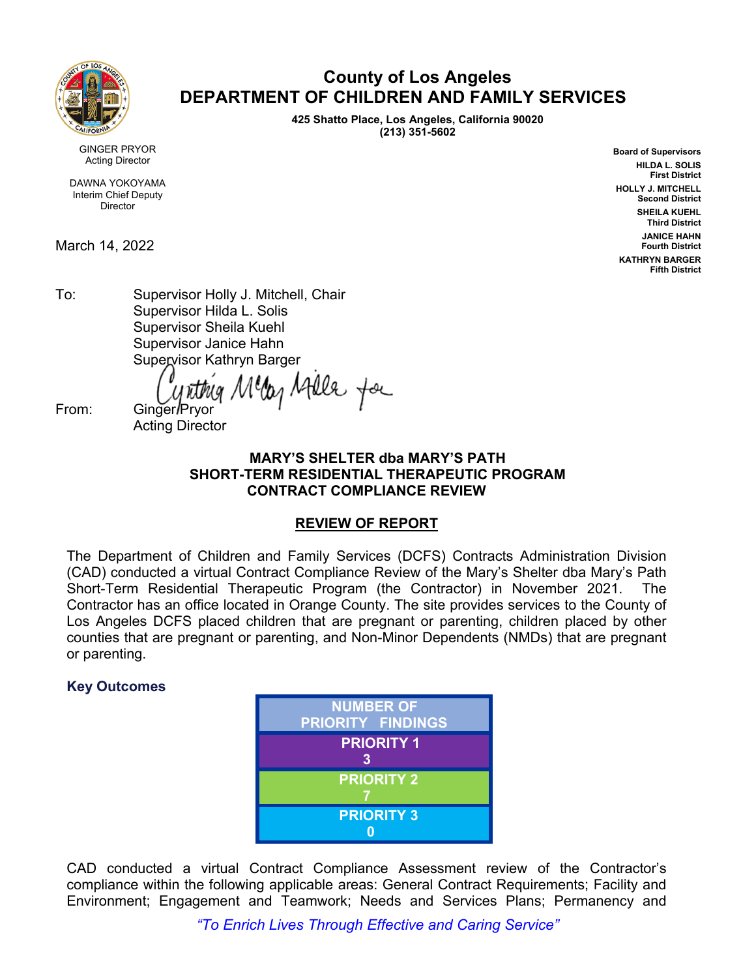

# **County of Los Angeles DEPARTMENT OF CHILDREN AND FAMILY SERVICES**

**425 Shatto Place, Los Angeles, California 90020 (213) 351-5602**

> **Board of Supervisors HILDA L. SOLIS First District HOLLY J. MITCHELL Second District SHEILA KUEHL Third District JANICE HAHN Fourth District KATHRYN BARGER Fifth District**

GINGER PRYOR Acting Director

DAWNA YOKOYAMA Interim Chief Deputy Director

March 14, 2022

To: Supervisor Holly J. Mitchell, Chair Supervisor Hilda L. Solis Supervisor Sheila Kuehl Supervisor Janice Hahn Supervisor Kathryn Barger

lleg Atlle for

From: Ginger/Prvor Acting Director

# **MARY'S SHELTER dba MARY'S PATH SHORT-TERM RESIDENTIAL THERAPEUTIC PROGRAM CONTRACT COMPLIANCE REVIEW**

# **REVIEW OF REPORT**

The Department of Children and Family Services (DCFS) Contracts Administration Division (CAD) conducted a virtual Contract Compliance Review of the Mary's Shelter dba Mary's Path Short-Term Residential Therapeutic Program (the Contractor) in November 2021. The Contractor has an office located in Orange County. The site provides services to the County of Los Angeles DCFS placed children that are pregnant or parenting, children placed by other counties that are pregnant or parenting, and Non-Minor Dependents (NMDs) that are pregnant or parenting.

# **Key Outcomes**



CAD conducted a virtual Contract Compliance Assessment review of the Contractor's compliance within the following applicable areas: General Contract Requirements; Facility and Environment; Engagement and Teamwork; Needs and Services Plans; Permanency and

*"To Enrich Lives Through Effective and Caring Service"*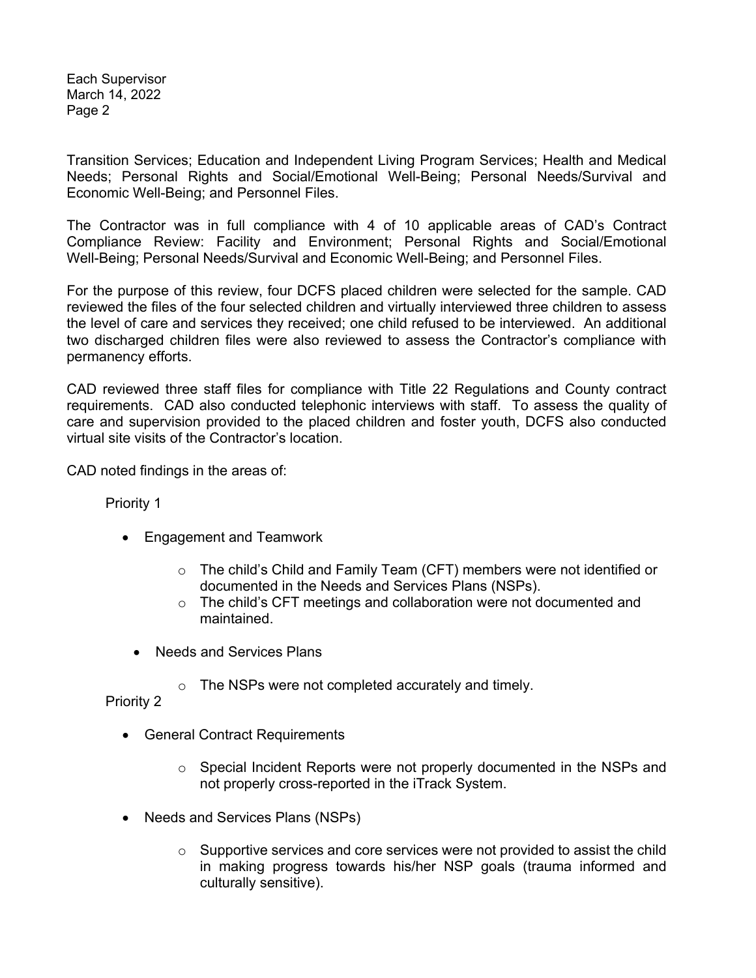Each Supervisor March 14, 2022 Page 2

Transition Services; Education and Independent Living Program Services; Health and Medical Needs; Personal Rights and Social/Emotional Well-Being; Personal Needs/Survival and Economic Well-Being; and Personnel Files.

The Contractor was in full compliance with 4 of 10 applicable areas of CAD's Contract Compliance Review: Facility and Environment; Personal Rights and Social/Emotional Well-Being; Personal Needs/Survival and Economic Well-Being; and Personnel Files.

For the purpose of this review, four DCFS placed children were selected for the sample. CAD reviewed the files of the four selected children and virtually interviewed three children to assess the level of care and services they received; one child refused to be interviewed. An additional two discharged children files were also reviewed to assess the Contractor's compliance with permanency efforts.

CAD reviewed three staff files for compliance with Title 22 Regulations and County contract requirements. CAD also conducted telephonic interviews with staff. To assess the quality of care and supervision provided to the placed children and foster youth, DCFS also conducted virtual site visits of the Contractor's location.

CAD noted findings in the areas of:

Priority 1

- Engagement and Teamwork
	- $\circ$  The child's Child and Family Team (CFT) members were not identified or documented in the Needs and Services Plans (NSPs).
	- $\circ$  The child's CFT meetings and collaboration were not documented and maintained.
	- Needs and Services Plans
		- o The NSPs were not completed accurately and timely.

Priority 2

- General Contract Requirements
	- o Special Incident Reports were not properly documented in the NSPs and not properly cross-reported in the iTrack System.
- Needs and Services Plans (NSPs)
	- $\circ$  Supportive services and core services were not provided to assist the child in making progress towards his/her NSP goals (trauma informed and culturally sensitive).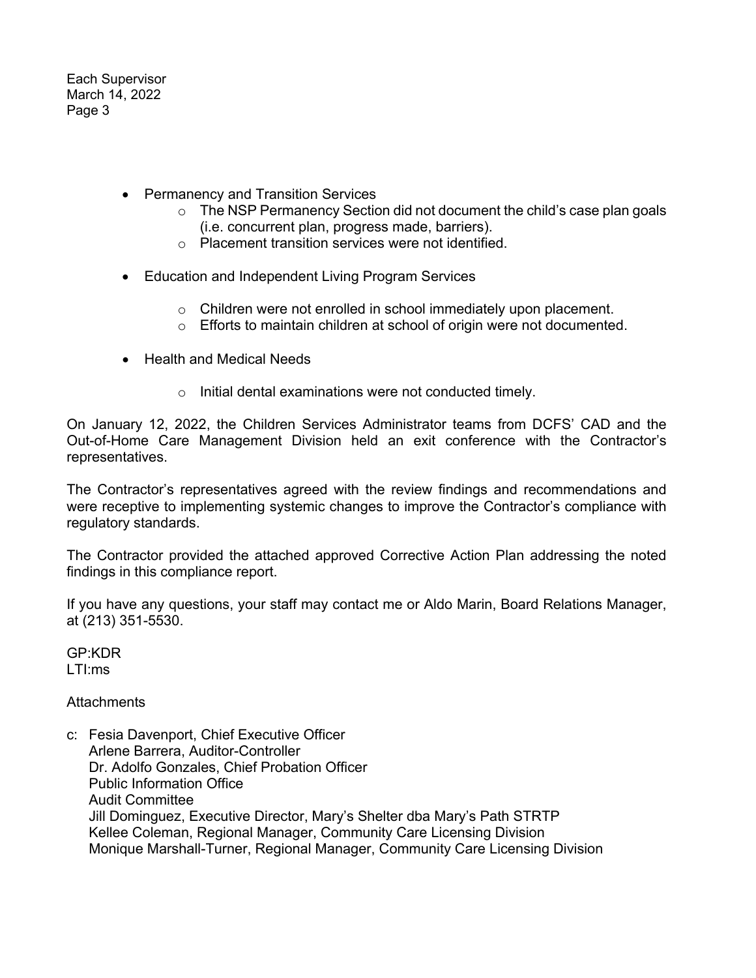Each Supervisor March 14, 2022 Page 3

- Permanency and Transition Services
	- o The NSP Permanency Section did not document the child's case plan goals (i.e. concurrent plan, progress made, barriers).
	- o Placement transition services were not identified.
- Education and Independent Living Program Services
	- $\circ$  Children were not enrolled in school immediately upon placement.
	- o Efforts to maintain children at school of origin were not documented.
- Health and Medical Needs
	- o Initial dental examinations were not conducted timely.

On January 12, 2022, the Children Services Administrator teams from DCFS' CAD and the Out-of-Home Care Management Division held an exit conference with the Contractor's representatives.

The Contractor's representatives agreed with the review findings and recommendations and were receptive to implementing systemic changes to improve the Contractor's compliance with regulatory standards.

The Contractor provided the attached approved Corrective Action Plan addressing the noted findings in this compliance report.

If you have any questions, your staff may contact me or Aldo Marin, Board Relations Manager, at (213) 351-5530.

GP:KDR LTI:ms

# **Attachments**

c: Fesia Davenport, Chief Executive Officer Arlene Barrera, Auditor-Controller Dr. Adolfo Gonzales, Chief Probation Officer Public Information Office Audit Committee Jill Dominguez, Executive Director, Mary's Shelter dba Mary's Path STRTP Kellee Coleman, Regional Manager, Community Care Licensing Division Monique Marshall-Turner, Regional Manager, Community Care Licensing Division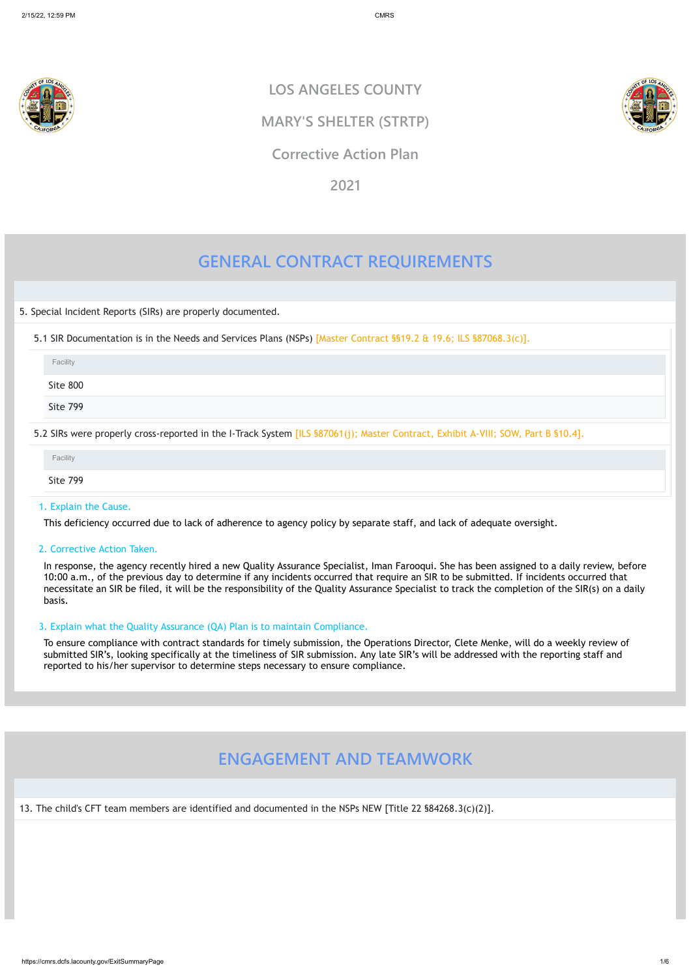

# **GENERAL CONTRACT REQUIREMENTS**

5. Special Incident Reports (SIRs) are properly documented.

5.1 SIR Documentation is in the Needs and Services Plans (NSPs) [Master Contract §§19.2 & 19.6; ILS §87068.3(c)].

# 1. Explain the Cause.

This deficiency occurred due to lack of adherence to agency policy by separate staff, and lack of adequate oversight.

# 2. Corrective Action Taken.

In response, the agency recently hired a new Quality Assurance Specialist, Iman Farooqui. She has been assigned to a daily review, before 10:00 a.m., of the previous day to determine if any incidents occurred that require an SIR to be submitted. If incidents occurred that necessitate an SIR be filed, it will be the responsibility of the Quality Assurance Specialist to track the completion of the SIR(s) on a daily basis.

| Facility        |                                                                                                                                  |  |
|-----------------|----------------------------------------------------------------------------------------------------------------------------------|--|
| Site 800        |                                                                                                                                  |  |
| <b>Site 799</b> |                                                                                                                                  |  |
|                 | 5.2 SIRs were properly cross-reported in the I-Track System [ILS §87061(j); Master Contract, Exhibit A-VIII; SOW, Part B §10.4]. |  |

| Facility        |  |  |
|-----------------|--|--|
| <b>Site 799</b> |  |  |

# 3. Explain what the Quality Assurance (QA) Plan is to maintain Compliance.

To ensure compliance with contract standards for timely submission, the Operations Director, Clete Menke, will do a weekly review of submitted SIR's, looking specifically at the timeliness of SIR submission. Any late SIR's will be addressed with the reporting staff and reported to his/her supervisor to determine steps necessary to ensure compliance.

# **ENGAGEMENT AND TEAMWORK**

13. The child's CFT team members are identified and documented in the NSPs NEW [Title 22 §84268.3(c)(2)].

**LOS ANGELES COUNTY**

**MARY'S SHELTER (STRTP)**

# **Corrective Action Plan**

**2021**

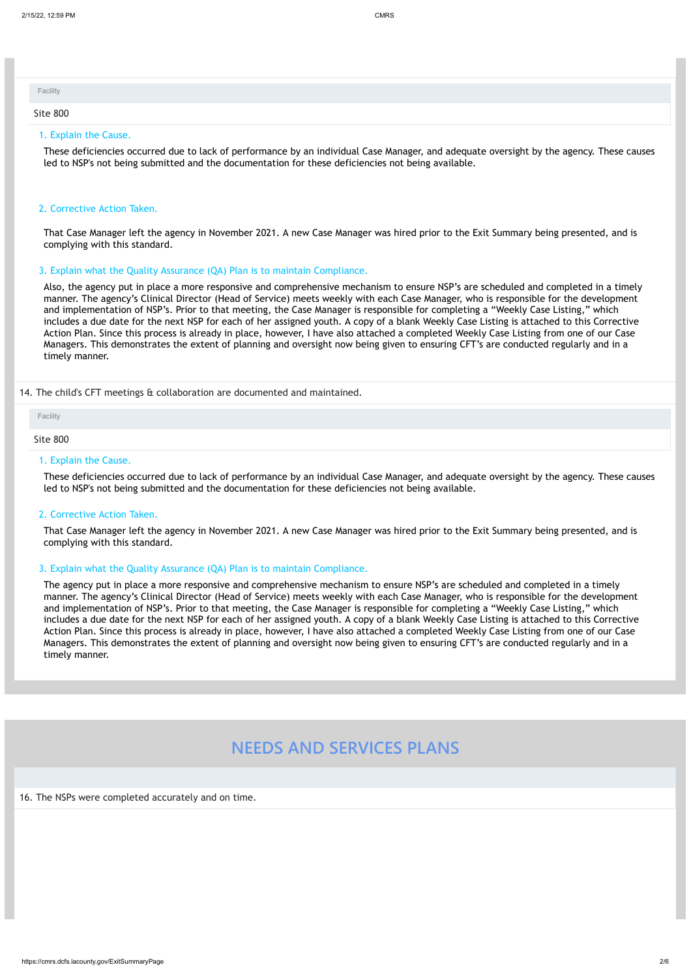#### 1. Explain the Cause.

These deficiencies occurred due to lack of performance by an individual Case Manager, and adequate oversight by the agency. These causes led to NSP's not being submitted and the documentation for these deficiencies not being available.

# 2. Corrective Action Taken.

That Case Manager left the agency in November 2021. A new Case Manager was hired prior to the Exit Summary being presented, and is complying with this standard.

# 3. Explain what the Quality Assurance (QA) Plan is to maintain Compliance.

Also, the agency put in place a more responsive and comprehensive mechanism to ensure NSP's are scheduled and completed in a timely manner. The agency's Clinical Director (Head of Service) meets weekly with each Case Manager, who is responsible for the development and implementation of NSP's. Prior to that meeting, the Case Manager is responsible for completing a "Weekly Case Listing," which includes a due date for the next NSP for each of her assigned youth. A copy of a blank Weekly Case Listing is attached to this Corrective Action Plan. Since this process is already in place, however, I have also attached a completed Weekly Case Listing from one of our Case Managers. This demonstrates the extent of planning and oversight now being given to ensuring CFT's are conducted regularly and in a timely manner.

### 14. The child's CFT meetings & collaboration are documented and maintained.

| Facility |  |  |  |
|----------|--|--|--|
| Site 800 |  |  |  |

### Site 800

### 1. Explain the Cause.

These deficiencies occurred due to lack of performance by an individual Case Manager, and adequate oversight by the agency. These causes led to NSP's not being submitted and the documentation for these deficiencies not being available.

### 2. Corrective Action Taken.

That Case Manager left the agency in November 2021. A new Case Manager was hired prior to the Exit Summary being presented, and is complying with this standard.

### 3. Explain what the Quality Assurance (QA) Plan is to maintain Compliance.

The agency put in place a more responsive and comprehensive mechanism to ensure NSP's are scheduled and completed in a timely manner. The agency's Clinical Director (Head of Service) meets weekly with each Case Manager, who is responsible for the development and implementation of NSP's. Prior to that meeting, the Case Manager is responsible for completing a "Weekly Case Listing," which includes a due date for the next NSP for each of her assigned youth. A copy of a blank Weekly Case Listing is attached to this Corrective Action Plan. Since this process is already in place, however, I have also attached a completed Weekly Case Listing from one of our Case Managers. This demonstrates the extent of planning and oversight now being given to ensuring CFT's are conducted regularly and in a timely manner.

# **NEEDS AND SERVICES PLANS**

16. The NSPs were completed accurately and on time.

Facility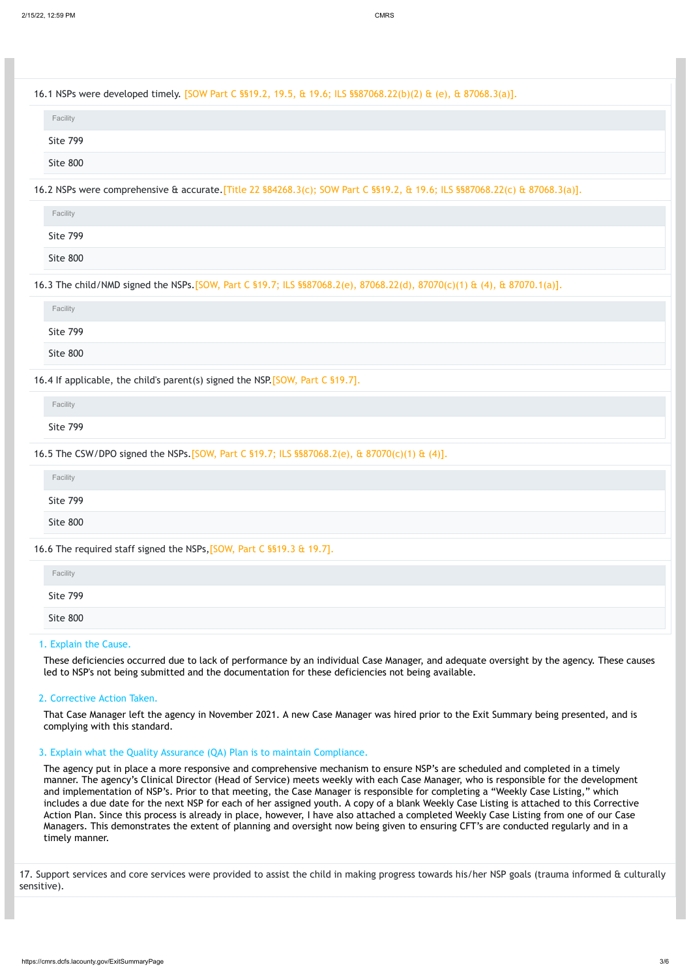These deficiencies occurred due to lack of performance by an individual Case Manager, and adequate oversight by the agency. These causes led to NSP's not being submitted and the documentation for these deficiencies not being available.

### 2. Corrective Action Taken.

That Case Manager left the agency in November 2021. A new Case Manager was hired prior to the Exit Summary being presented, and is complying with this standard.

| 16.1 NSPs were developed timely. [SOW Part C \$§19.2, 19.5, & 19.6; ILS \$\$87068.22(b)(2) & (e), & 87068.3(a)].            |  |
|-----------------------------------------------------------------------------------------------------------------------------|--|
| Facility                                                                                                                    |  |
| <b>Site 799</b>                                                                                                             |  |
| Site 800                                                                                                                    |  |
| 16.2 NSPs were comprehensive & accurate. [Title 22 §84268.3(c); SOW Part C §§19.2, & 19.6; ILS §§87068.22(c) & 87068.3(a)]. |  |
| Facility                                                                                                                    |  |
| <b>Site 799</b>                                                                                                             |  |
| Site 800                                                                                                                    |  |
| 16.3 The child/NMD signed the NSPs. [SOW, Part C §19.7; ILS §§87068.2(e), 87068.22(d), 87070(c)(1) & (4), & 87070.1(a)].    |  |
| Facility                                                                                                                    |  |
| <b>Site 799</b>                                                                                                             |  |
| Site 800                                                                                                                    |  |
| 16.4 If applicable, the child's parent(s) signed the NSP [SOW, Part C §19.7].                                               |  |
| Facility                                                                                                                    |  |
| <b>Site 799</b>                                                                                                             |  |
| 16.5 The CSW/DPO signed the NSPs. [SOW, Part C §19.7; ILS §§87068.2(e), & 87070(c)(1) & (4)].                               |  |
| Facility                                                                                                                    |  |
| <b>Site 799</b>                                                                                                             |  |
| Site 800                                                                                                                    |  |
| 16.6 The required staff signed the NSPs, [SOW, Part C §§19.3 & 19.7].                                                       |  |
| Facility                                                                                                                    |  |
| <b>Site 799</b>                                                                                                             |  |
| Site 800                                                                                                                    |  |

# 3. Explain what the Quality Assurance (QA) Plan is to maintain Compliance.

The agency put in place a more responsive and comprehensive mechanism to ensure NSP's are scheduled and completed in a timely manner. The agency's Clinical Director (Head of Service) meets weekly with each Case Manager, who is responsible for the development and implementation of NSP's. Prior to that meeting, the Case Manager is responsible for completing a "Weekly Case Listing," which includes a due date for the next NSP for each of her assigned youth. A copy of a blank Weekly Case Listing is attached to this Corrective Action Plan. Since this process is already in place, however, I have also attached a completed Weekly Case Listing from one of our Case Managers. This demonstrates the extent of planning and oversight now being given to ensuring CFT's are conducted regularly and in a timely manner.

17. Support services and core services were provided to assist the child in making progress towards his/her NSP goals (trauma informed & culturally sensitive).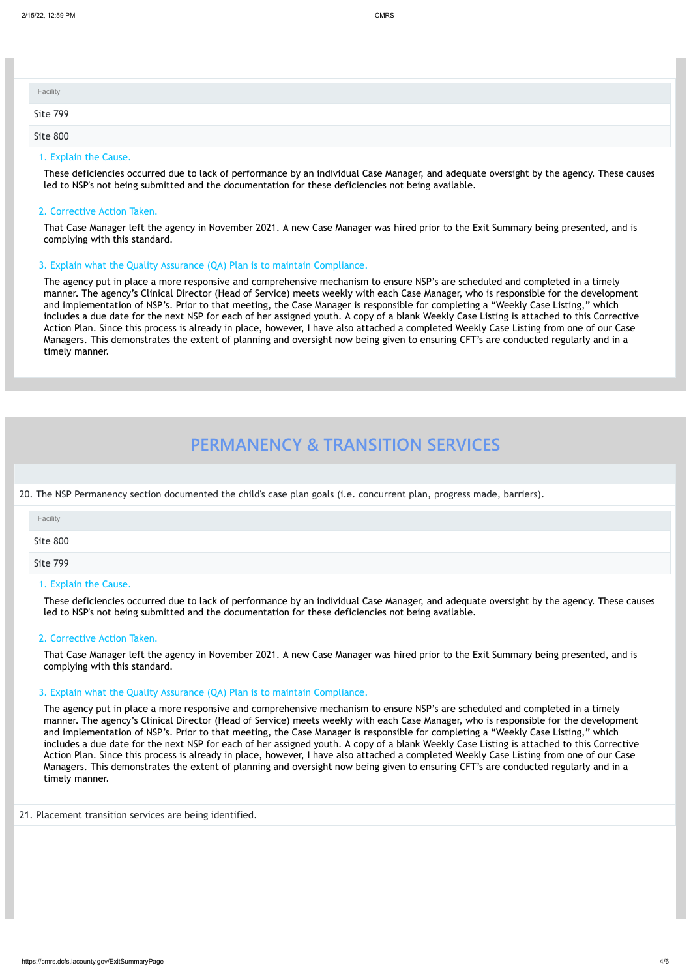# 1. Explain the Cause.

These deficiencies occurred due to lack of performance by an individual Case Manager, and adequate oversight by the agency. These causes led to NSP's not being submitted and the documentation for these deficiencies not being available.

# 2. Corrective Action Taken.

That Case Manager left the agency in November 2021. A new Case Manager was hired prior to the Exit Summary being presented, and is complying with this standard.

# 3. Explain what the Quality Assurance (QA) Plan is to maintain Compliance.

The agency put in place a more responsive and comprehensive mechanism to ensure NSP's are scheduled and completed in a timely manner. The agency's Clinical Director (Head of Service) meets weekly with each Case Manager, who is responsible for the development and implementation of NSP's. Prior to that meeting, the Case Manager is responsible for completing a "Weekly Case Listing," which includes a due date for the next NSP for each of her assigned youth. A copy of a blank Weekly Case Listing is attached to this Corrective Action Plan. Since this process is already in place, however, I have also attached a completed Weekly Case Listing from one of our Case Managers. This demonstrates the extent of planning and oversight now being given to ensuring CFT's are conducted regularly and in a timely manner.

# **PERMANENCY & TRANSITION SERVICES**

20. The NSP Permanency section documented the child's case plan goals (i.e. concurrent plan, progress made, barriers).

| Facility |  |  |
|----------|--|--|
| Site 799 |  |  |
| Site 800 |  |  |

### 1. Explain the Cause.

These deficiencies occurred due to lack of performance by an individual Case Manager, and adequate oversight by the agency. These causes led to NSP's not being submitted and the documentation for these deficiencies not being available.

# 2. Corrective Action Taken.

That Case Manager left the agency in November 2021. A new Case Manager was hired prior to the Exit Summary being presented, and is complying with this standard.

### 3. Explain what the Quality Assurance (QA) Plan is to maintain Compliance.

| Facility |  |  |
|----------|--|--|
| Site 800 |  |  |
| Site 799 |  |  |

The agency put in place a more responsive and comprehensive mechanism to ensure NSP's are scheduled and completed in a timely manner. The agency's Clinical Director (Head of Service) meets weekly with each Case Manager, who is responsible for the development and implementation of NSP's. Prior to that meeting, the Case Manager is responsible for completing a "Weekly Case Listing," which

includes a due date for the next NSP for each of her assigned youth. A copy of a blank Weekly Case Listing is attached to this Corrective Action Plan. Since this process is already in place, however, I have also attached a completed Weekly Case Listing from one of our Case Managers. This demonstrates the extent of planning and oversight now being given to ensuring CFT's are conducted regularly and in a timely manner.

21. Placement transition services are being identified.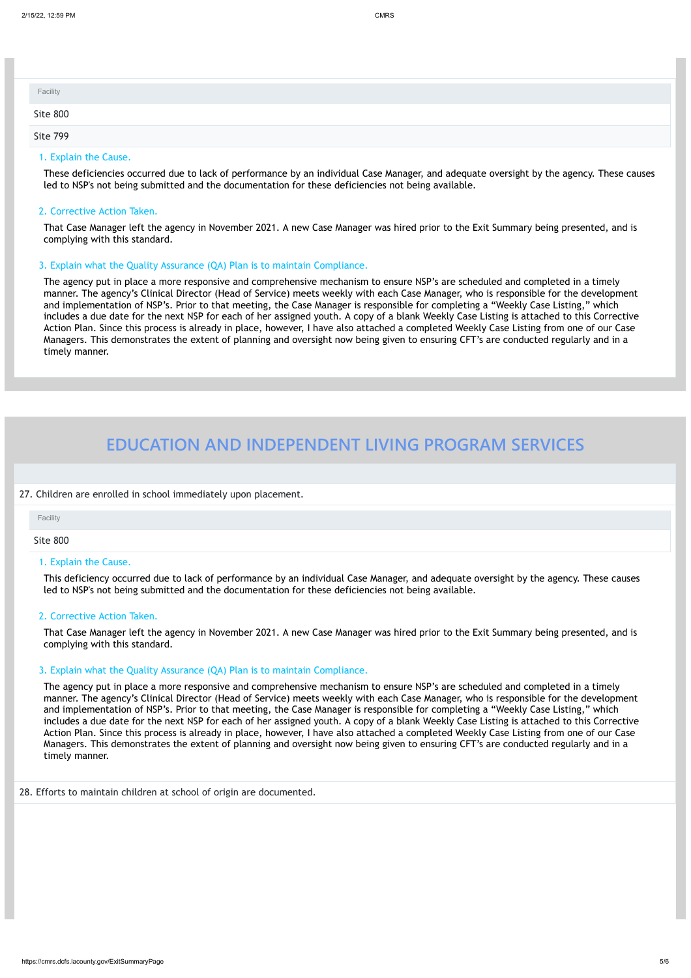# 1. Explain the Cause.

These deficiencies occurred due to lack of performance by an individual Case Manager, and adequate oversight by the agency. These causes led to NSP's not being submitted and the documentation for these deficiencies not being available.

# 2. Corrective Action Taken.

That Case Manager left the agency in November 2021. A new Case Manager was hired prior to the Exit Summary being presented, and is complying with this standard.

# 3. Explain what the Quality Assurance (QA) Plan is to maintain Compliance.

The agency put in place a more responsive and comprehensive mechanism to ensure NSP's are scheduled and completed in a timely manner. The agency's Clinical Director (Head of Service) meets weekly with each Case Manager, who is responsible for the development and implementation of NSP's. Prior to that meeting, the Case Manager is responsible for completing a "Weekly Case Listing," which includes a due date for the next NSP for each of her assigned youth. A copy of a blank Weekly Case Listing is attached to this Corrective Action Plan. Since this process is already in place, however, I have also attached a completed Weekly Case Listing from one of our Case Managers. This demonstrates the extent of planning and oversight now being given to ensuring CFT's are conducted regularly and in a timely manner.

# **EDUCATION AND INDEPENDENT LIVING PROGRAM SERVICES**

27. Children are enrolled in school immediately upon placement.

| Facility |  |  |
|----------|--|--|
| Site 800 |  |  |
| Site 799 |  |  |

### Site 800

## 1. Explain the Cause.

This deficiency occurred due to lack of performance by an individual Case Manager, and adequate oversight by the agency. These causes led to NSP's not being submitted and the documentation for these deficiencies not being available.

# 2. Corrective Action Taken.

That Case Manager left the agency in November 2021. A new Case Manager was hired prior to the Exit Summary being presented, and is complying with this standard.

### 3. Explain what the Quality Assurance (QA) Plan is to maintain Compliance.

The agency put in place a more responsive and comprehensive mechanism to ensure NSP's are scheduled and completed in a timely manner. The agency's Clinical Director (Head of Service) meets weekly with each Case Manager, who is responsible for the development and implementation of NSP's. Prior to that meeting, the Case Manager is responsible for completing a "Weekly Case Listing," which includes a due date for the next NSP for each of her assigned youth. A copy of a blank Weekly Case Listing is attached to this Corrective Action Plan. Since this process is already in place, however, I have also attached a completed Weekly Case Listing from one of our Case

Managers. This demonstrates the extent of planning and oversight now being given to ensuring CFT's are conducted regularly and in a timely manner.

28. Efforts to maintain children at school of origin are documented.

Facility